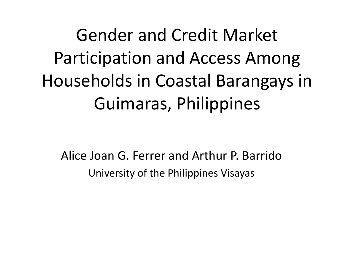Gender and Credit Market Participation and Access Among Households in Coastal Barangays in Guimaras, Philippines

Alice Joan G. Ferrer and Arthur P. Barrido University of the Philippines Visayas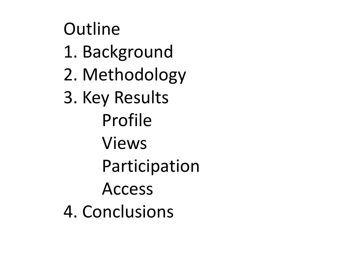**Outline** 1. Background 2. Methodology 3. Key Results Profile Views Participation Access 4. Conclusions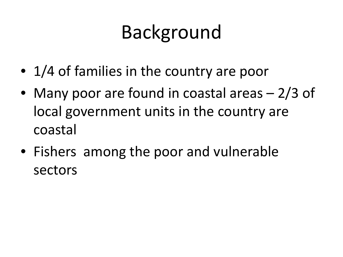- 1/4 of families in the country are poor
- Many poor are found in coastal areas 2/3 of local government units in the country are coastal
- Fishers among the poor and vulnerable sectors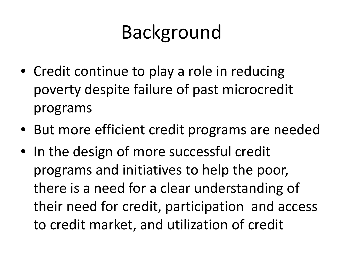- Credit continue to play a role in reducing poverty despite failure of past microcredit programs
- But more efficient credit programs are needed
- In the design of more successful credit programs and initiatives to help the poor, there is a need for a clear understanding of their need for credit, participation and access to credit market, and utilization of credit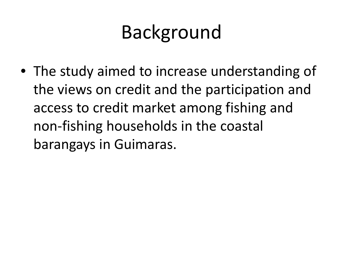• The study aimed to increase understanding of the views on credit and the participation and access to credit market among fishing and non-fishing households in the coastal barangays in Guimaras.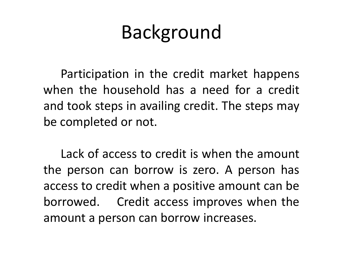Participation in the credit market happens when the household has a need for a credit and took steps in availing credit. The steps may be completed or not.

Lack of access to credit is when the amount the person can borrow is zero. A person has access to credit when a positive amount can be borrowed. Credit access improves when the amount a person can borrow increases.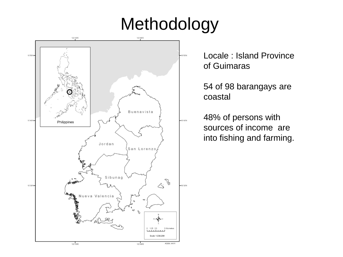#### Methodology



Locale : Island Province of Guimaras

54 of 98 barangays are coastal

48% of persons with sources of income are into fishing and farming.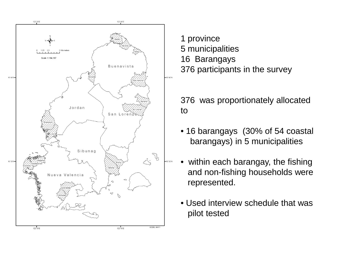

1 province 5 municipalities 16 Barangays 376 participants in the survey

376 was proportionately allocated to

- 16 barangays (30% of 54 coastal barangays) in 5 municipalities
- within each barangay, the fishing and non-fishing households were represented.
- Used interview schedule that was pilot tested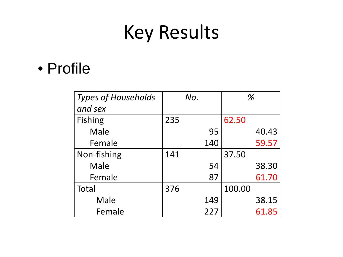#### • Profile

| <b>Types of Households</b> |     | No. | %      |       |
|----------------------------|-----|-----|--------|-------|
| and sex                    |     |     |        |       |
| <b>Fishing</b>             | 235 |     | 62.50  |       |
| Male                       |     | 95  |        | 40.43 |
| Female                     |     | 140 |        | 59.57 |
| Non-fishing                | 141 |     | 37.50  |       |
| Male                       |     | 54  |        | 38.30 |
| Female                     |     | 87  |        | 61.70 |
| Total                      | 376 |     | 100.00 |       |
| Male                       |     | 149 |        | 38.15 |
| Female                     |     | 227 |        | 61.85 |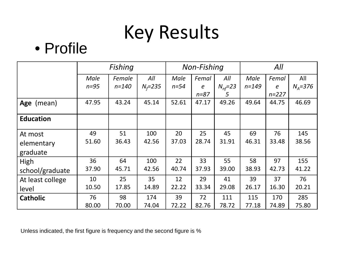#### • Profile

|                  |          | Fishing   |             |          | Non-Fishing      |                      | All       |            |          |
|------------------|----------|-----------|-------------|----------|------------------|----------------------|-----------|------------|----------|
|                  | Male     | Female    | All         | Male     | Femal            | All                  | Male      | Femal      | All      |
|                  | $n = 95$ | $n = 140$ | $N_f = 235$ | $n = 54$ | $\boldsymbol{e}$ | $N_{\text{nf}} = 23$ | $n = 149$ | $\epsilon$ | $NA=376$ |
|                  |          |           |             |          | $n = 87$         | 5                    |           | $n = 227$  |          |
| Age (mean)       | 47.95    | 43.24     | 45.14       | 52.61    | 47.17            | 49.26                | 49.64     | 44.75      | 46.69    |
|                  |          |           |             |          |                  |                      |           |            |          |
| <b>Education</b> |          |           |             |          |                  |                      |           |            |          |
| At most          | 49       | 51        | 100         | 20       | 25               | 45                   | 69        | 76         | 145      |
| elementary       | 51.60    | 36.43     | 42.56       | 37.03    | 28.74            | 31.91                | 46.31     | 33.48      | 38.56    |
| graduate         |          |           |             |          |                  |                      |           |            |          |
| High             | 36       | 64        | 100         | 22       | 33               | 55                   | 58        | 97         | 155      |
| school/graduate  | 37.90    | 45.71     | 42.56       | 40.74    | 37.93            | 39.00                | 38.93     | 42.73      | 41.22    |
| At least college | 10       | 25        | 35          | 12       | 29               | 41                   | 39        | 37         | 76       |
| level            | 10.50    | 17.85     | 14.89       | 22.22    | 33.34            | 29.08                | 26.17     | 16.30      | 20.21    |
| <b>Catholic</b>  | 76       | 98        | 174         | 39       | 72               | 111                  | 115       | 170        | 285      |
|                  | 80.00    | 70.00     | 74.04       | 72.22    | 82.76            | 78.72                | 77.18     | 74.89      | 75.80    |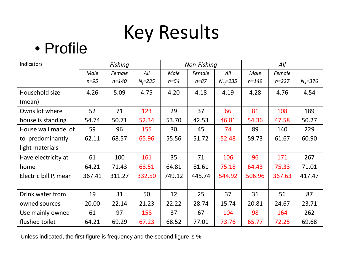#### • Profile

| Indicators            |          | Fishing   |             |          | Non-Fishing |                       |           | All       |             |
|-----------------------|----------|-----------|-------------|----------|-------------|-----------------------|-----------|-----------|-------------|
|                       | Male     | Female    | All         | Male     | Female      | All                   | Male      | Female    |             |
|                       | $n = 95$ | $n = 140$ | $N_f = 235$ | $n = 54$ | $n = 87$    | $N_{\text{nf}} = 235$ | $n = 149$ | $n = 227$ | $N_A = 376$ |
| Household size        | 4.26     | 5.09      | 4.75        | 4.20     | 4.18        | 4.19                  | 4.28      | 4.76      | 4.54        |
| (mean)                |          |           |             |          |             |                       |           |           |             |
| Owns lot where        | 52       | 71        | 123         | 29       | 37          | 66                    | 81        | 108       | 189         |
| house is standing     | 54.74    | 50.71     | 52.34       | 53.70    | 42.53       | 46.81                 | 54.36     | 47.58     | 50.27       |
| House wall made of    | 59       | 96        | 155         | 30       | 45          | 74                    | 89        | 140       | 229         |
| to predominantly      | 62.11    | 68.57     | 65.96       | 55.56    | 51.72       | 52.48                 | 59.73     | 61.67     | 60.90       |
| light materials       |          |           |             |          |             |                       |           |           |             |
| Have electricity at   | 61       | 100       | 161         | 35       | 71          | 106                   | 96        | 171       | 267         |
| home                  | 64.21    | 71.43     | 68.51       | 64.81    | 81.61       | 75.18                 | 64.43     | 75.33     | 71.01       |
| Electric bill P, mean | 367.41   | 311.27    | 332.50      | 749.12   | 445.74      | 544.92                | 506.96    | 367.63    | 417.47      |
|                       |          |           |             |          |             |                       |           |           |             |
| Drink water from      | 19       | 31        | 50          | 12       | 25          | 37                    | 31        | 56        | 87          |
| owned sources         | 20.00    | 22.14     | 21.23       | 22.22    | 28.74       | 15.74                 | 20.81     | 24.67     | 23.71       |
| Use mainly owned      | 61       | 97        | 158         | 37       | 67          | 104                   | 98        | 164       | 262         |
| flushed toilet        | 64.21    | 69.29     | 67.23       | 68.52    | 77.01       | 73.76                 | 65.77     | 72.25     | 69.68       |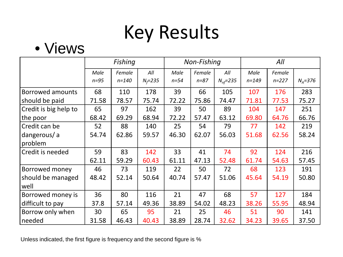#### • Views

|                         |          | Fishing   |             |          | Non-Fishing |                       |           | All       |             |
|-------------------------|----------|-----------|-------------|----------|-------------|-----------------------|-----------|-----------|-------------|
|                         | Male     | Female    | All         | Male     | Female      | All                   | Male      | Female    |             |
|                         | $n = 95$ | $n = 140$ | $N_f = 235$ | $n = 54$ | $n = 87$    | $N_{\text{nf}} = 235$ | $n = 149$ | $n = 227$ | $N_A = 376$ |
| <b>Borrowed amounts</b> | 68       | 110       | 178         | 39       | 66          | 105                   | 107       | 176       | 283         |
| should be paid          | 71.58    | 78.57     | 75.74       | 72.22    | 75.86       | 74.47                 | 71.81     | 77.53     | 75.27       |
| Credit is big help to   | 65       | 97        | 162         | 39       | 50          | 89                    | 104       | 147       | 251         |
| the poor                | 68.42    | 69.29     | 68.94       | 72.22    | 57.47       | 63.12                 | 69.80     | 64.76     | 66.76       |
| Credit can be           | 52       | 88        | 140         | 25       | 54          | 79                    | 77        | 142       | 219         |
| dangerous/a             | 54.74    | 62.86     | 59.57       | 46.30    | 62.07       | 56.03                 | 51.68     | 62.56     | 58.24       |
| problem                 |          |           |             |          |             |                       |           |           |             |
| Credit is needed        | 59       | 83        | 142         | 33       | 41          | 74                    | 92        | 124       | 216         |
|                         | 62.11    | 59.29     | 60.43       | 61.11    | 47.13       | 52.48                 | 61.74     | 54.63     | 57.45       |
| Borrowed money          | 46       | 73        | 119         | 22       | 50          | 72                    | 68        | 123       | 191         |
| should be managed       | 48.42    | 52.14     | 50.64       | 40.74    | 57.47       | 51.06                 | 45.64     | 54.19     | 50.80       |
| well                    |          |           |             |          |             |                       |           |           |             |
| Borrowed money is       | 36       | 80        | 116         | 21       | 47          | 68                    | 57        | 127       | 184         |
| difficult to pay        | 37.8     | 57.14     | 49.36       | 38.89    | 54.02       | 48.23                 | 38.26     | 55.95     | 48.94       |
| Borrow only when        | 30       | 65        | 95          | 21       | 25          | 46                    | 51        | 90        | 141         |
| needed                  | 31.58    | 46.43     | 40.43       | 38.89    | 28.74       | 32.62                 | 34.23     | 39.65     | 37.50       |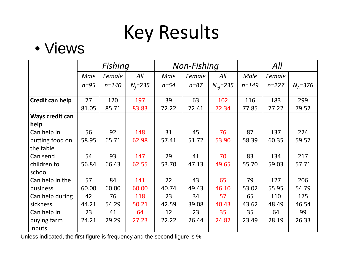#### • Views

|                         |          | Fishing   |             |        | <b>Non-Fishing</b> |                       |           | All       |             |
|-------------------------|----------|-----------|-------------|--------|--------------------|-----------------------|-----------|-----------|-------------|
|                         | Male     | Female    | All         | Male   | Female             | All                   | Male      | Female    |             |
|                         | $n = 95$ | $n = 140$ | $N_f = 235$ | $n=54$ | $n = 87$           | $N_{\text{nf}} = 235$ | $n = 149$ | $n = 227$ | $N_A = 376$ |
| Credit can help         | 77       | 120       | 197         | 39     | 63                 | 102                   | 116       | 183       | 299         |
|                         | 81.05    | 85.71     | 83.83       | 72.22  | 72.41              | 72.34                 | 77.85     | 77.22     | 79.52       |
| Ways credit can<br>help |          |           |             |        |                    |                       |           |           |             |
| Can help in             | 56       | 92        | 148         | 31     | 45                 | 76                    | 87        | 137       | 224         |
| putting food on         | 58.95    | 65.71     | 62.98       | 57.41  | 51.72              | 53.90                 | 58.39     | 60.35     | 59.57       |
| the table               |          |           |             |        |                    |                       |           |           |             |
| Can send                | 54       | 93        | 147         | 29     | 41                 | 70                    | 83        | 134       | 217         |
| children to             | 56.84    | 66.43     | 62.55       | 53.70  | 47.13              | 49.65                 | 55.70     | 59.03     | 57.71       |
| school                  |          |           |             |        |                    |                       |           |           |             |
| Can help in the         | 57       | 84        | 141         | 22     | 43                 | 65                    | 79        | 127       | 206         |
| business                | 60.00    | 60.00     | 60.00       | 40.74  | 49.43              | 46.10                 | 53.02     | 55.95     | 54.79       |
| Can help during         | 42       | 76        | 118         | 23     | 34                 | 57                    | 65        | 110       | 175         |
| sickness                | 44.21    | 54.29     | 50.21       | 42.59  | 39.08              | 40.43                 | 43.62     | 48.49     | 46.54       |
| Can help in             | 23       | 41        | 64          | 12     | 23                 | 35                    | 35        | 64        | 99          |
| buying farm             | 24.21    | 29.29     | 27.23       | 22.22  | 26.44              | 24.82                 | 23.49     | 28.19     | 26.33       |
| inputs                  |          |           |             |        |                    |                       |           |           |             |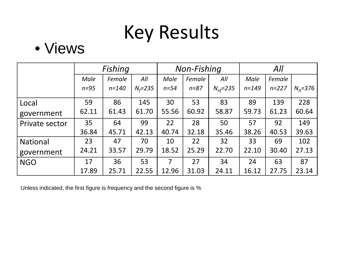#### • Views

|                 |        | Fishing   |             |             | <b>Non-Fishing</b> |                       | All       |           |               |  |
|-----------------|--------|-----------|-------------|-------------|--------------------|-----------------------|-----------|-----------|---------------|--|
|                 | Male   | Female    | All         | <b>Male</b> | Female             | All                   | Male      | Female    |               |  |
|                 | $n=95$ | $n = 140$ | $N_f = 235$ | $n = 54$    | $n = 87$           | $N_{\text{nf}} = 235$ | $n = 149$ | $n = 227$ | $N_{A} = 376$ |  |
| Local           | 59     | 86        | 145         | 30          | 53                 | 83                    | 89        | 139       | 228           |  |
| government      | 62.11  | 61.43     | 61.70       | 55.56       | 60.92              | 58.87                 | 59.73     | 61.23     | 60.64         |  |
| Private sector  | 35     | 64        | 99          | 22          | 28                 | 50                    | 57        | 92        | 149           |  |
|                 | 36.84  | 45.71     | 42.13       | 40.74       | 32.18              | 35.46                 | 38.26     | 40.53     | 39.63         |  |
| <b>National</b> | 23     | 47        | 70          | 10          | 22                 | 32                    | 33        | 69        | 102           |  |
| government      | 24.21  | 33.57     | 29.79       | 18.52       | 25.29              | 22.70                 | 22.10     | 30.40     | 27.13         |  |
| <b>NGO</b>      | 17     | 36        | 53          | 7           | 27                 | 34                    | 24        | 63        | 87            |  |
|                 | 17.89  | 25.71     | 22.55       | 12.96       | 31.03              | 24.11                 | 16.12     | 27.75     | 23.14         |  |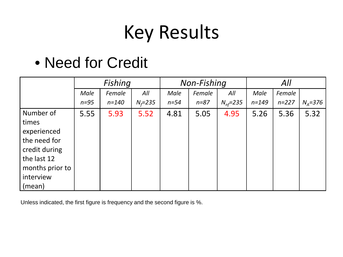#### • Need for Credit

|                                                                                                                             |        | Fishing   |             |        | <b>Non-Fishing</b> |                       | All       |           |             |
|-----------------------------------------------------------------------------------------------------------------------------|--------|-----------|-------------|--------|--------------------|-----------------------|-----------|-----------|-------------|
|                                                                                                                             | Male   | Female    | All         | Male   | Female             | All                   | Male      | Female    |             |
|                                                                                                                             | $n=95$ | $n = 140$ | $N_f = 235$ | $n=54$ | $n = 87$           | $N_{\text{nf}} = 235$ | $n = 149$ | $n = 227$ | $N_A = 376$ |
| Number of<br>times<br>experienced<br>the need for<br>credit during<br>the last 12<br>months prior to<br>interview<br>(mean) | 5.55   | 5.93      | 5.52        | 4.81   | 5.05               | 4.95                  | 5.26      | 5.36      | 5.32        |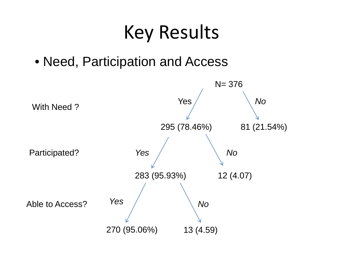• Need, Participation and Access

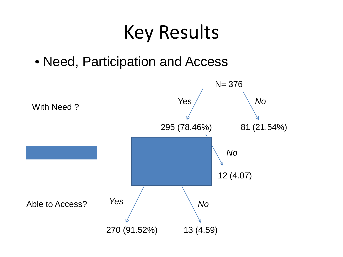• Need, Participation and Access

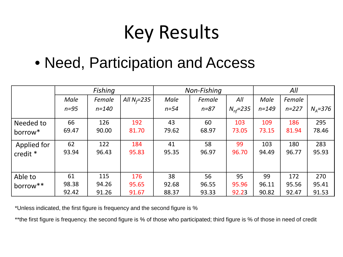#### • Need, Participation and Access

|             |        | Fishing   |                 |        | Non-Fishing |                       |           | All       |          |
|-------------|--------|-----------|-----------------|--------|-------------|-----------------------|-----------|-----------|----------|
|             | Male   | Female    | All $N_f = 235$ | Male   | Female      | All                   | Male      | Female    |          |
|             | $n=95$ | $n = 140$ |                 | $n=54$ | $n = 87$    | $N_{\text{nf}} = 235$ | $n = 149$ | $n = 227$ | $Na=376$ |
| Needed to   | 66     | 126       | 192             | 43     | 60          | 103                   | 109       | 186       | 295      |
| borrow*     | 69.47  | 90.00     | 81.70           | 79.62  | 68.97       | 73.05                 | 73.15     | 81.94     | 78.46    |
| Applied for | 62     | 122       | 184             | 41     | 58          | 99                    | 103       | 180       | 283      |
| credit *    | 93.94  | 96.43     | 95.83           | 95.35  | 96.97       | 96.70                 | 94.49     | 96.77     | 95.93    |
| Able to     | 61     | 115       | 176             | 38     | 56          | 95                    | 99        | 172       | 270      |
| borrow**    | 98.38  | 94.26     | 95.65           | 92.68  | 96.55       | 95.96                 | 96.11     | 95.56     | 95.41    |
|             | 92.42  | 91.26     | 91.67           | 88.37  | 93.33       | 92.23                 | 90.82     | 92.47     | 91.53    |

\*Unless indicated, the first figure is frequency and the second figure is %

\*\*the first figure is frequency. the second figure is % of those who participated; third figure is % of those in need of credit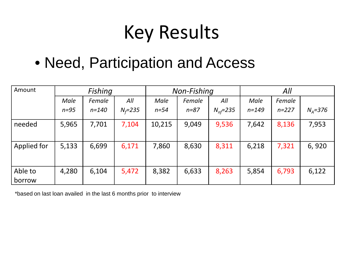#### • Need, Participation and Access

| Amount            |        | Fishing   |             |          | Non-Fishing |                       | All       |           |          |  |
|-------------------|--------|-----------|-------------|----------|-------------|-----------------------|-----------|-----------|----------|--|
|                   | Male   | Female    | All         | Male     | Female      | All                   | Male      | Female    |          |  |
|                   | $n=95$ | $n = 140$ | $N_f = 235$ | $n = 54$ | $n = 87$    | $N_{\text{nf}} = 235$ | $n = 149$ | $n = 227$ | $Na=376$ |  |
| needed            | 5,965  | 7,701     | 7,104       | 10,215   | 9,049       | 9,536                 | 7,642     | 8,136     | 7,953    |  |
| Applied for       | 5,133  | 6,699     | 6,171       | 7,860    | 8,630       | 8,311                 | 6,218     | 7,321     | 6,920    |  |
| Able to<br>borrow | 4,280  | 6,104     | 5,472       | 8,382    | 6,633       | 8,263                 | 5,854     | 6,793     | 6,122    |  |

\*based on last loan availed in the last 6 months prior to interview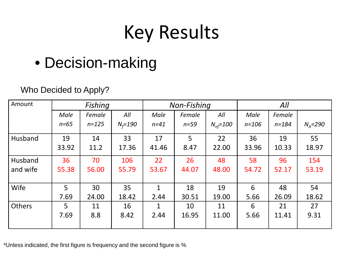#### • Decision-making

#### Who Decided to Apply?

| Amount        |          | Fishing   |             |              | Non-Fishing |                    | All       |           |             |  |
|---------------|----------|-----------|-------------|--------------|-------------|--------------------|-----------|-----------|-------------|--|
|               | Male     | Female    | All         | Male         | Female      | All                | Male      | Female    |             |  |
|               | $n = 65$ | $n = 125$ | $N_f = 190$ | $n = 41$     | $n=59$      | $N_{\eta f} = 100$ | $n = 106$ | $n = 184$ | $N_A = 290$ |  |
| Husband       | 19       | 14        | 33          | 17           | 5           | 22                 | 36        | 19        | 55          |  |
|               | 33.92    | 11.2      | 17.36       | 41.46        | 8.47        | 22.00              | 33.96     | 10.33     | 18.97       |  |
| Husband       | 36       | 70        | 106         | 22           | 26          | 48                 | 58        | 96        | 154         |  |
| and wife      | 55.38    | 56.00     | 55.79       | 53.67        | 44.07       | 48.00              | 54.72     | 52.17     | 53.19       |  |
| Wife          | 5        | 30        | 35          | $\mathbf{1}$ | 18          | 19                 | 6         | 48        | 54          |  |
|               | 7.69     | 24.00     | 18.42       | 2.44         | 30.51       | 19.00              | 5.66      | 26.09     | 18.62       |  |
| <b>Others</b> | 5        | 11        | 16          | $\mathbf 1$  | 10          | 11                 | 6         | 21        | 27          |  |
|               | 7.69     | 8.8       | 8.42        | 2.44         | 16.95       | 11.00              | 5.66      | 11.41     | 9.31        |  |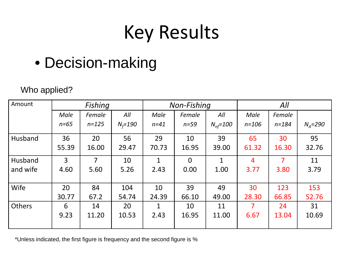#### • Decision-making

#### Who applied?

| Amount        |          | Fishing   |             |              | Non-Fishing    |                       | All            |           |             |  |
|---------------|----------|-----------|-------------|--------------|----------------|-----------------------|----------------|-----------|-------------|--|
|               | Male     | Female    | All         | Male         | Female         | All                   | Male           | Female    |             |  |
|               | $n = 65$ | $n = 125$ | $N_f = 190$ | $n = 41$     | $n=59$         | $N_{\text{nf}} = 100$ | $n = 106$      | $n = 184$ | $N_A = 290$ |  |
| Husband       | 36       | 20        | 56          | 29           | 10             | 39                    | 65             | 30        | 95          |  |
|               | 55.39    | 16.00     | 29.47       | 70.73        | 16.95          | 39.00                 | 61.32          | 16.30     | 32.76       |  |
| Husband       | 3        | 7         | 10          | $\mathbf{1}$ | $\overline{0}$ | $\mathbf{1}$          | $\overline{4}$ | 7         | 11          |  |
| and wife      | 4.60     | 5.60      | 5.26        | 2.43         | 0.00           | 1.00                  | 3.77           | 3.80      | 3.79        |  |
|               |          |           |             |              |                |                       |                |           |             |  |
| Wife          | 20       | 84        | 104         | 10           | 39             | 49                    | 30             | 123       | 153         |  |
|               | 30.77    | 67.2      | 54.74       | 24.39        | 66.10          | 49.00                 | 28.30          | 66.85     | 52.76       |  |
| <b>Others</b> | 6        | 14        | 20          | 1            | 10             | 11                    | 7              | 24        | 31          |  |
|               | 9.23     | 11.20     | 10.53       | 2.43         | 16.95          | 11.00                 | 6.67           | 13.04     | 10.69       |  |
|               |          |           |             |              |                |                       |                |           |             |  |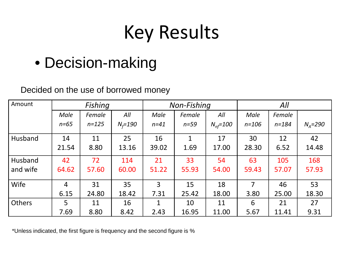#### • Decision-making

#### Decided on the use of borrowed money

| Amount        |                | Fishing   |             |                | Non-Fishing  |                       | All       |           |             |  |
|---------------|----------------|-----------|-------------|----------------|--------------|-----------------------|-----------|-----------|-------------|--|
|               | Male           | Female    | All         | Male           | Female       | All                   | Male      | Female    |             |  |
|               | $n = 65$       | $n = 125$ | $N_f = 190$ | $n = 41$       | $n=59$       | $N_{\text{nf}} = 100$ | $n = 106$ | $n = 184$ | $N_A = 290$ |  |
| Husband       | 14             | 11        | 25          | 16             | $\mathbf{1}$ | 17                    | 30        | 12        | 42          |  |
|               | 21.54          | 8.80      | 13.16       | 39.02          | 1.69         | 17.00                 | 28.30     | 6.52      | 14.48       |  |
| Husband       | 42             | 72        | 114         | 21             | 33           | 54                    | 63        | 105       | 168         |  |
| and wife      | 64.62          | 57.60     | 60.00       | 51.22          | 55.93        | 54.00                 | 59.43     | 57.07     | 57.93       |  |
| Wife          | $\overline{4}$ | 31        | 35          | $\overline{3}$ | 15           | 18                    | 7         | 46        | 53          |  |
|               | 6.15           | 24.80     | 18.42       | 7.31           | 25.42        | 18.00                 | 3.80      | 25.00     | 18.30       |  |
| <b>Others</b> | 5              | 11        | 16          | 1              | 10           | 11                    | 6         | 21        | 27          |  |
|               | 7.69           | 8.80      | 8.42        | 2.43           | 16.95        | 11.00                 | 5.67      | 11.41     | 9.31        |  |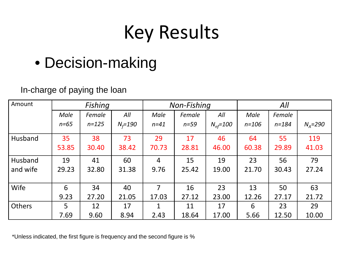#### • Decision-making

#### In-charge of paying the loan

| Amount        | Fishing  |           |             | Non-Fishing |        |                       | All       |           |             |
|---------------|----------|-----------|-------------|-------------|--------|-----------------------|-----------|-----------|-------------|
|               | Male     | Female    | All         | Male        | Female | All                   | Male      | Female    |             |
|               | $n = 65$ | $n = 125$ | $N_f = 190$ | $n = 41$    | $n=59$ | $N_{\text{nf}} = 100$ | $n = 106$ | $n = 184$ | $N_A = 290$ |
| Husband       | 35       | 38        | 73          | 29          | 17     | 46                    | 64        | 55        | 119         |
|               | 53.85    | 30.40     | 38.42       | 70.73       | 28.81  | 46.00                 | 60.38     | 29.89     | 41.03       |
| Husband       | 19       | 41        | 60          | 4           | 15     | 19                    | 23        | 56        | 79          |
| and wife      | 29.23    | 32.80     | 31.38       | 9.76        | 25.42  | 19.00                 | 21.70     | 30.43     | 27.24       |
| Wife          | 6        | 34        | 40          | 7           | 16     | 23                    | 13        | 50        | 63          |
|               | 9.23     | 27.20     | 21.05       | 17.03       | 27.12  | 23.00                 | 12.26     | 27.17     | 21.72       |
| <b>Others</b> | 5        | 12        | 17          | 1           | 11     | 17                    | 6         | 23        | 29          |
|               | 7.69     | 9.60      | 8.94        | 2.43        | 18.64  | 17.00                 | 5.66      | 12.50     | 10.00       |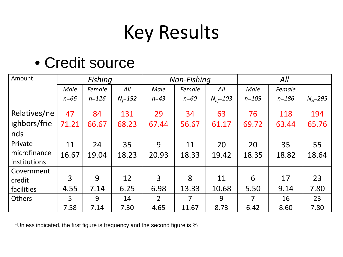#### • Credit source

| Amount        | <b>Fishing</b> |           |             | Non-Fishing    |                |                       | All            |           |          |
|---------------|----------------|-----------|-------------|----------------|----------------|-----------------------|----------------|-----------|----------|
|               | <b>Male</b>    | Female    | All         | Male           | Female         | All                   | Male           | Female    |          |
|               | $n = 66$       | $n = 126$ | $N_f = 192$ | $n = 43$       | $n = 60$       | $N_{\text{nf}} = 103$ | $n = 109$      | $n = 186$ | $NA=295$ |
| Relatives/ne  | 47             | 84        | 131         | 29             | 34             | 63                    | 76             | 118       | 194      |
| ighbors/frie  | 71.21          | 66.67     | 68.23       | 67.44          | 56.67          | 61.17                 | 69.72          | 63.44     | 65.76    |
| nds           |                |           |             |                |                |                       |                |           |          |
| Private       | 11             | 24        | 35          | 9              | 11             | 20                    | 20             | 35        | 55       |
| microfinance  | 16.67          | 19.04     | 18.23       | 20.93          | 18.33          | 19.42                 | 18.35          | 18.82     | 18.64    |
| institutions  |                |           |             |                |                |                       |                |           |          |
| Government    |                |           |             |                |                |                       |                |           |          |
| credit        | 3              | 9         | 12          | 3              | 8              | 11                    | 6              | 17        | 23       |
| facilities    | 4.55           | 7.14      | 6.25        | 6.98           | 13.33          | 10.68                 | 5.50           | 9.14      | 7.80     |
| <b>Others</b> | 5              | 9         | 14          | $\overline{2}$ | $\overline{7}$ | 9                     | $\overline{7}$ | 16        | 23       |
|               | 7.58           | 7.14      | 7.30        | 4.65           | 11.67          | 8.73                  | 6.42           | 8.60      | 7.80     |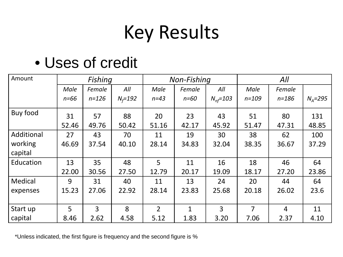#### • Uses of credit

| Amount     | <b>Fishing</b> |           |             | Non-Fishing    |              |                       | All       |           |             |
|------------|----------------|-----------|-------------|----------------|--------------|-----------------------|-----------|-----------|-------------|
|            | Male           | Female    | All         | Male           | Female       | All                   | Male      | Female    |             |
|            | $n = 66$       | $n = 126$ | $N_f = 192$ | $n = 43$       | $n = 60$     | $N_{\text{nf}} = 103$ | $n = 109$ | $n = 186$ | $N_A = 295$ |
| Buy food   | 31             | 57        | 88          | 20             | 23           | 43                    | 51        | 80        | 131         |
|            | 52.46          | 49.76     | 50.42       | 51.16          | 42.17        | 45.92                 | 51.47     | 47.31     | 48.85       |
| Additional | 27             | 43        | 70          | 11             | 19           | 30                    | 38        | 62        | 100         |
| working    | 46.69          | 37.54     | 40.10       | 28.14          | 34.83        | 32.04                 | 38.35     | 36.67     | 37.29       |
| capital    |                |           |             |                |              |                       |           |           |             |
| Education  | 13             | 35        | 48          | 5              | 11           | 16                    | 18        | 46        | 64          |
|            | 22.00          | 30.56     | 27.50       | 12.79          | 20.17        | 19.09                 | 18.17     | 27.20     | 23.86       |
| Medical    | 9              | 31        | 40          | 11             | 13           | 24                    | 20        | 44        | 64          |
| expenses   | 15.23          | 27.06     | 22.92       | 28.14          | 23.83        | 25.68                 | 20.18     | 26.02     | 23.6        |
|            |                |           |             |                |              |                       |           |           |             |
| Start up   | 5              | 3         | 8           | $\overline{2}$ | $\mathbf{1}$ | 3                     | 7         | 4         | 11          |
| capital    | 8.46           | 2.62      | 4.58        | 5.12           | 1.83         | 3.20                  | 7.06      | 2.37      | 4.10        |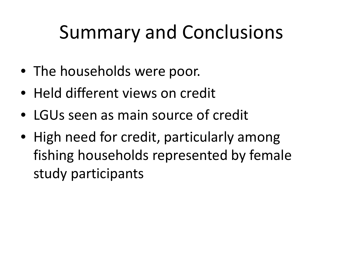- The households were poor.
- Held different views on credit
- LGUs seen as main source of credit
- High need for credit, particularly among fishing households represented by female study participants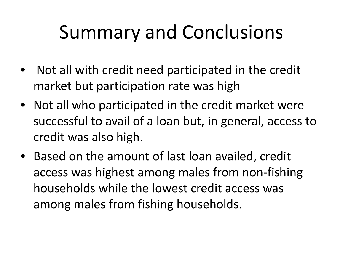- Not all with credit need participated in the credit market but participation rate was high
- Not all who participated in the credit market were successful to avail of a loan but, in general, access to credit was also high.
- Based on the amount of last loan availed, credit access was highest among males from non-fishing households while the lowest credit access was among males from fishing households.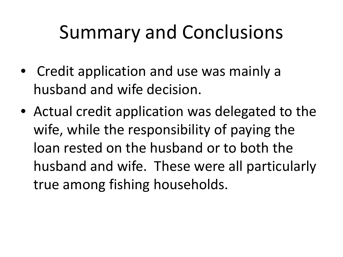- Credit application and use was mainly a husband and wife decision.
- Actual credit application was delegated to the wife, while the responsibility of paying the loan rested on the husband or to both the husband and wife. These were all particularly true among fishing households.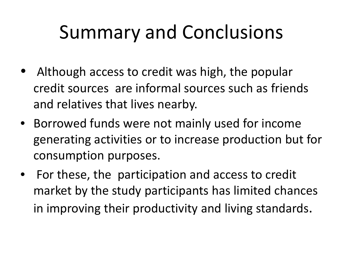- Although access to credit was high, the popular credit sources are informal sources such as friends and relatives that lives nearby.
- Borrowed funds were not mainly used for income generating activities or to increase production but for consumption purposes.
- For these, the participation and access to credit market by the study participants has limited chances in improving their productivity and living standards.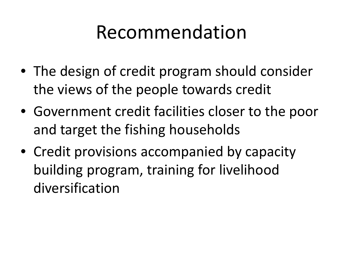#### Recommendation

- The design of credit program should consider the views of the people towards credit
- Government credit facilities closer to the poor and target the fishing households
- Credit provisions accompanied by capacity building program, training for livelihood diversification